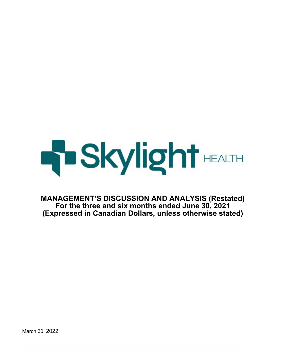

**MANAGEMENT'S DISCUSSION AND ANALYSIS (Restated) For the three and six months ended June 30, 2021 (Expressed in Canadian Dollars, unless otherwise stated)**

March 30, 2022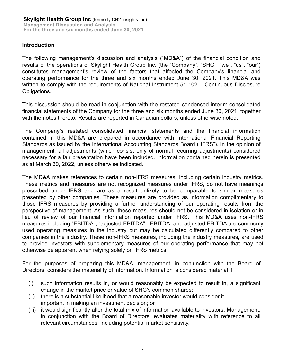## **Introduction**

The following management's discussion and analysis ("MD&A") of the financial condition and results of the operations of Skylight Health Group Inc. (the "Company", "SHG", "we", "us", "our") constitutes management's review of the factors that affected the Company's financial and operating performance for the three and six months ended June 30, 2021. This MD&A was written to comply with the requirements of National Instrument 51-102 – Continuous Disclosure Obligations.

This discussion should be read in conjunction with the restated condensed interim consolidated financial statements of the Company for the three and six months ended June 30, 2021, together with the notes thereto. Results are reported in Canadian dollars, unless otherwise noted.

The Company's restated consolidated financial statements and the financial information contained in this MD&A are prepared in accordance with International Financial Reporting Standards as issued by the International Accounting Standards Board ("IFRS"). In the opinion of management, all adjustments (which consist only of normal recurring adjustments) considered necessary for a fair presentation have been included. Information contained herein is presented as at March 30, 2022, unless otherwise indicated.

The MD&A makes references to certain non-IFRS measures, including certain industry metrics. These metrics and measures are not recognized measures under IFRS, do not have meanings prescribed under IFRS and are as a result unlikely to be comparable to similar measures presented by other companies. These measures are provided as information complimentary to those IFRS measures by providing a further understanding of our operating results from the perspective of management. As such, these measures should not be considered in isolation or in lieu of review of our financial information reported under IFRS. This MD&A uses non-IFRS measures including "EBITDA", "adjusted EBITDA". EBITDA, and adjusted EBITDA are commonly used operating measures in the industry but may be calculated differently compared to other companies in the industry. These non-IFRS measures, including the industry measures, are used to provide investors with supplementary measures of our operating performance that may not otherwise be apparent when relying solely on IFRS metrics.

For the purposes of preparing this MD&A, management, in conjunction with the Board of Directors, considers the materiality of information. Information is considered material if:

- (i) such information results in, or would reasonably be expected to result in, a significant change in the market price or value of SHG's common shares;
- (ii) there is a substantial likelihood that a reasonable investor would consider it important in making an investment decision; or
- (iii) it would significantly alter the total mix of information available to investors. Management, in conjunction with the Board of Directors, evaluates materiality with reference to all relevant circumstances, including potential market sensitivity.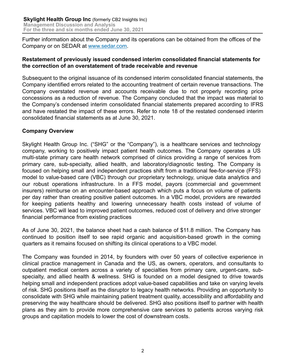Further information about the Company and its operations can be obtained from the offices of the Company or on SEDAR at www.sedar.com.

#### **Restatement of previously issued condensed interim consolidated financial statements for the correction of an overstatement of trade receivable and revenue**

Subsequent to the original issuance of its condensed interim consolidated financial statements, the Company identified errors related to the accounting treatment of certain revenue transactions. The Company overstated revenue and accounts receivable due to not properly recording price concessions as a reduction of revenue. The Company concluded that the impact was material to the Company's condensed interim consolidated financial statements prepared according to IFRS and have restated the impact of these errors. Refer to note 18 of the restated condensed interim consolidated financial statements as at June 30, 2021.

## **Company Overview**

Skylight Health Group Inc. ("SHG" or the "Company"), is a healthcare services and technology company, working to positively impact patient health outcomes. The Company operates a US multi-state primary care health network comprised of clinics providing a range of services from primary care, sub-specialty, allied health, and laboratory/diagnostic testing. The Company is focused on helping small and independent practices shift from a traditional fee-for-service (FFS) model to value-based care (VBC) through our proprietary technology, unique data analytics and our robust operations infrastructure. In a FFS model, payors (commercial and government insurers) reimburse on an encounter-based approach which puts a focus on volume of patients per day rather than creating positive patient outcomes. In a VBC model, providers are rewarded for keeping patients healthy and lowering unnecessary health costs instead of volume of services. VBC will lead to improved patient outcomes, reduced cost of delivery and drive stronger financial performance from existing practices

As of June 30, 2021, the balance sheet had a cash balance of \$11.8 million. The Company has continued to position itself to see rapid organic and acquisition-based growth in the coming quarters as it remains focused on shifting its clinical operations to a VBC model.

The Company was founded in 2014, by founders with over 50 years of collective experience in clinical practice management in Canada and the US, as owners, operators, and consultants to outpatient medical centers across a variety of specialties from primary care, urgent-care, subspecialty, and allied health & wellness. SHG is founded on a model designed to drive towards helping small and independent practices adopt value-based capabilities and take on varying levels of risk. SHG positions itself as the disruptor to legacy health networks. Providing an opportunity to consolidate with SHG while maintaining patient treatment quality, accessibility and affordability and preserving the way healthcare should be delivered. SHG also positions itself to partner with health plans as they aim to provide more comprehensive care services to patients across varying risk groups and capitation models to lower the cost of downstream costs.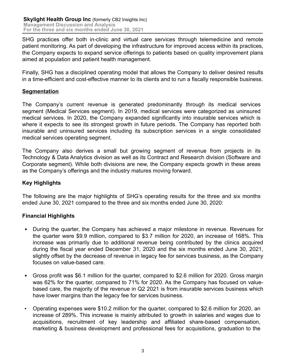SHG practices offer both in-clinic and virtual care services through telemedicine and remote patient monitoring. As part of developing the infrastructure for improved access within its practices, the Company expects to expand service offerings to patients based on quality improvement plans aimed at population and patient health management.

Finally, SHG has a disciplined operating model that allows the Company to deliver desired results in a time-efficient and cost-effective manner to its clients and to run a fiscally responsible business.

## **Segmentation**

The Company's current revenue is generated predominantly through its medical services segment (Medical Services segment). In 2019, medical services were categorized as uninsured medical services. In 2020, the Company expanded significantly into insurable services which is where it expects to see its strongest growth in future periods. The Company has reported both insurable and uninsured services including its subscription services in a single consolidated medical services operating segment.

The Company also derives a small but growing segment of revenue from projects in its Technology & Data Analytics division as well as its Contract and Research division (Software and Corporate segment). While both divisions are new, the Company expects growth in these areas as the Company's offerings and the industry matures moving forward.

## **Key Highlights**

The following are the major highlights of SHG's operating results for the three and six months ended June 30, 2021 compared to the three and six months ended June 30, 2020:

## **Financial Highlights**

- During the quarter, the Company has achieved a major milestone in revenue. Revenues for the quarter were \$9.9 million, compared to \$3.7 million for 2020, an increase of 168%. This increase was primarily due to additional revenue being contributed by the clinics acquired during the fiscal year ended December 31, 2020 and the six months ended June 30, 2021, slightly offset by the decrease of revenue in legacy fee for services business, as the Company focuses on value-based care.
- Gross profit was \$6.1 million for the quarter, compared to \$2.6 million for 2020. Gross margin was 62% for the quarter, compared to 71% for 2020. As the Company has focused on valuebased care, the majority of the revenue in Q2 2021 is from insurable services business which have lower margins than the legacy fee for services business.
- Operating expenses were \$10.2 million for the quarter, compared to \$2.6 million for 2020, an increase of 289%. This increase is mainly attributed to growth in salaries and wages due to acquisitions, recruitment of key leadership and affiliated share-based compensation, marketing & business development and professional fees for acquisitions, graduation to the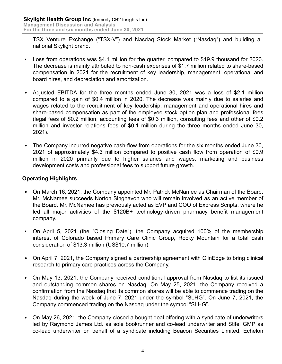TSX Venture Exchange ("TSX-V") and Nasdaq Stock Market ("Nasdaq") and building a national Skylight brand.

- Loss from operations was \$4.1 million for the quarter, compared to \$19.9 thousand for 2020. The decrease is mainly attributed to non-cash expenses of \$1.7 million related to share-based compensation in 2021 for the recruitment of key leadership, management, operational and board hires, and depreciation and amortization.
- Adjusted EBITDA for the three months ended June 30, 2021 was a loss of \$2.1 million compared to a gain of \$0.4 million in 2020. The decrease was mainly due to salaries and wages related to the recruitment of key leadership, management and operational hires and share-based compensation as part of the employee stock option plan and professional fees (legal fees of \$0.2 million, accounting fees of \$0.3 million, consulting fees and other of \$0.2 million and investor relations fees of \$0.1 million during the three months ended June 30, 2021).
- The Company incurred negative cash-flow from operations for the six months ended June 30, 2021 of approximately \$4.3 million compared to positive cash flow from operation of \$0.9 million in 2020 primarily due to higher salaries and wages, marketing and business development costs and professional fees to support future growth.

## **Operating Highlights**

- On March 16, 2021, the Company appointed Mr. Patrick McNamee as Chairman of the Board. Mr. McNamee succeeds Norton Singhavon who will remain involved as an active member of the Board. Mr. McNamee has previously acted as EVP and COO of Express Scripts, where he led all major activities of the \$120B+ technology-driven pharmacy benefit management company.
- On April 5, 2021 (the "Closing Date"), the Company acquired 100% of the membership interest of Colorado based Primary Care Clinic Group, Rocky Mountain for a total cash consideration of \$13.3 million (US\$10.7 million).
- On April 7, 2021, the Company signed a partnership agreement with ClinEdge to bring clinical research to primary care practices across the Company.
- On May 13, 2021, the Company received conditional approval from Nasdaq to list its issued and outstanding common shares on Nasdaq. On May 25, 2021, the Company received a confirmation from the Nasdaq that its common shares will be able to commence trading on the Nasdaq during the week of June 7, 2021 under the symbol "SLHG". On June 7, 2021, the Company commenced trading on the Nasdaq under the symbol "SLHG".
- On May 26, 2021, the Company closed a bought deal offering with a syndicate of underwriters led by Raymond James Ltd. as sole bookrunner and co-lead underwriter and Stifel GMP as co-lead underwriter on behalf of a syndicate including Beacon Securities Limited, Echelon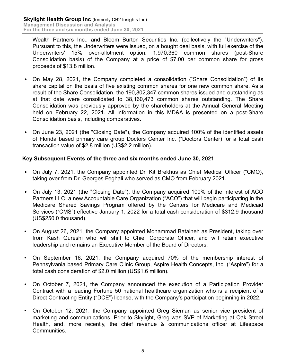Wealth Partners Inc., and Bloom Burton Securities Inc. (collectively the "Underwriters"). Pursuant to this, the Underwriters were issued, on a bought deal basis, with full exercise of the Underwriters' 15% over-allotment option, 1,970,360 common shares (post-Share Consolidation basis) of the Company at a price of \$7.00 per common share for gross proceeds of \$13.8 million.

- On May 28, 2021, the Company completed a consolidation ("Share Consolidation") of its share capital on the basis of five existing common shares for one new common share. As a result of the Share Consolidation, the 190,802,347 common shares issued and outstanding as at that date were consolidated to 38,160,473 common shares outstanding. The Share Consolidation was previously approved by the shareholders at the Annual General Meeting held on February 22, 2021. All information in this MD&A is presented on a post-Share Consolidation basis, including comparatives.
- On June 23, 2021 (the "Closing Date"), the Company acquired 100% of the identified assets of Florida based primary care group Doctors Center Inc. ("Doctors Center) for a total cash transaction value of \$2.8 million (US\$2.2 million).

## **Key Subsequent Events of the three and six months ended June 30, 2021**

- On July 7, 2021, the Company appointed Dr. Kit Brekhus as Chief Medical Officer ("CMO), taking over from Dr. Georges Feghali who served as CMO from February 2021.
- On July 13, 2021 (the "Closing Date"), the Company acquired 100% of the interest of ACO Partners LLC, a new Accountable Care Organization ("ACO") that will begin participating in the Medicare Shared Savings Program offered by the Centers for Medicare and Medicaid Services ("CMS") effective January 1, 2022 for a total cash consideration of \$312.9 thousand (US\$250.0 thousand).
- On August 26, 2021, the Company appointed Mohammad Bataineh as President, taking over from Kash Qureshi who will shift to Chief Corporate Officer, and will retain executive leadership and remains an Executive Member of the Board of Directors.
- On September 16, 2021, the Company acquired 70% of the membership interest of Pennsylvania based Primary Care Clinic Group, Aspire Health Concepts, Inc. ("Aspire") for a total cash consideration of \$2.0 million (US\$1.6 million).
- On October 7, 2021, the Company announced the execution of a Participation Provider Contract with a leading Fortune 50 national healthcare organization who is a recipient of a Direct Contracting Entity ("DCE") license, with the Company's participation beginning in 2022.
- On October 12, 2021, the Company appointed Greg Sieman as senior vice president of marketing and communications. Prior to Skylight, Greg was SVP of Marketing at Oak Street Health, and, more recently, the chief revenue & communications officer at Lifespace Communities.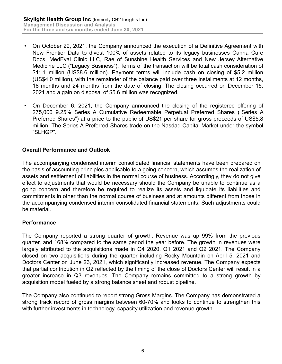- On October 29, 2021, the Company announced the execution of a Definitive Agreement with New Frontier Data to divest 100% of assets related to its legacy businesses Canna Care Docs, MedEval Clinic LLC, Rae of Sunshine Health Services and New Jersey Alternative Medicine LLC ("Legacy Business"). Terms of the transaction will be total cash consideration of \$11.1 million (US\$8.6 million). Payment terms will include cash on closing of \$5.2 million (US\$4.0 million), with the remainder of the balance paid over three installments at 12 months, 18 months and 24 months from the date of closing. The closing occurred on December 15, 2021 and a gain on disposal of \$5.6 million was recognized.
- On December 6, 2021, the Company announced the closing of the registered offering of 275,000 9.25% Series A Cumulative Redeemable Perpetual Preferred Shares ("Series A Preferred Shares") at a price to the public of US\$21 per share for gross proceeds of US\$5.8 million. The Series A Preferred Shares trade on the Nasdaq Capital Market under the symbol "SLHGP".

## **Overall Performance and Outlook**

The accompanying condensed interim consolidated financial statements have been prepared on the basis of accounting principles applicable to a going concern, which assumes the realization of assets and settlement of liabilities in the normal course of business. Accordingly, they do not give effect to adjustments that would be necessary should the Company be unable to continue as a going concern and therefore be required to realize its assets and liquidate its liabilities and commitments in other than the normal course of business and at amounts different from those in the accompanying condensed interim consolidated financial statements. Such adjustments could be material.

## **Performance**

The Company reported a strong quarter of growth. Revenue was up 99% from the previous quarter, and 168% compared to the same period the year before. The growth in revenues were largely attributed to the acquisitions made in Q4 2020, Q1 2021 and Q2 2021. The Company closed on two acquisitions during the quarter including Rocky Mountain on April 5, 2021 and Doctors Center on June 23, 2021, which significantly increased revenue. The Company expects that partial contribution in Q2 reflected by the timing of the close of Doctors Center will result in a greater increase in Q3 revenues. The Company remains committed to a strong growth by acquisition model fueled by a strong balance sheet and robust pipeline.

The Company also continued to report strong Gross Margins. The Company has demonstrated a strong track record of gross margins between 60-70% and looks to continue to strengthen this with further investments in technology, capacity utilization and revenue growth.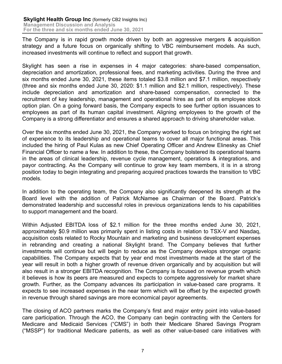The Company is in rapid growth mode driven by both an aggressive mergers & acquisition strategy and a future focus on organically shifting to VBC reimbursement models. As such, increased investments will continue to reflect and support that growth.

Skylight has seen a rise in expenses in 4 major categories: share-based compensation, depreciation and amortization, professional fees, and marketing activities. During the three and six months ended June 30, 2021, these items totaled \$3.8 million and \$7.1 million, respectively (three and six months ended June 30, 2020: \$1.1 million and \$2.1 million, respectively). These include depreciation and amortization and share-based compensation, connected to the recruitment of key leadership, management and operational hires as part of its employee stock option plan. On a going forward basis, the Company expects to see further option issuances to employees as part of its human capital investment. Aligning employees to the growth of the Company is a strong differentiator and ensures a shared approach to driving shareholder value.

Over the six months ended June 30, 2021, the Company worked to focus on bringing the right set of experience to its leadership and operational teams to cover all major functional areas. This included the hiring of Paul Kulas as new Chief Operating Officer and Andrew Elinesky as Chief Financial Officer to name a few. In addition to these, the Company bolstered its operational teams in the areas of clinical leadership, revenue cycle management, operations & integrations, and payor contracting. As the Company will continue to grow key team members, it is in a strong position today to begin integrating and preparing acquired practices towards the transition to VBC models.

In addition to the operating team, the Company also significantly deepened its strength at the Board level with the addition of Patrick McNamee as Chairman of the Board. Patrick's demonstrated leadership and successful roles in previous organizations lends to his capabilities to support management and the board.

Within Adjusted EBITDA loss of \$2.1 million for the three months ended June 30, 2021, approximately \$0.9 million was primarily spent in listing costs in relation to TSX-V and Nasdaq, acquisition costs related to Rocky Mountain and marketing and business development expenses in rebranding and creating a national Skylight brand. The Company believes that further investments will continue but will begin to reduce as the Company develops stronger organic capabilities. The Company expects that by year end most investments made at the start of the year will result in both a higher growth of revenue driven organically and by acquisition but will also result in a stronger EBITDA recognition. The Company is focused on revenue growth which it believes is how its peers are measured and expects to compete aggressively for market share growth. Further, as the Company advances its participation in value-based care programs. It expects to see increased expenses in the near term which will be offset by the expected growth in revenue through shared savings are more economical payor agreements.

The closing of ACO partners marks the Company's first and major entry point into value-based care participation. Through the ACO, the Company can begin contracting with the Centers for Medicare and Medicaid Services ("CMS") in both their Medicare Shared Savings Program ("MSSP") for traditional Medicare patients, as well as other value-based care initiatives with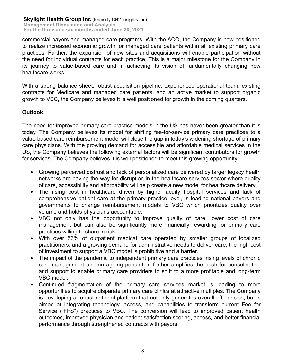commercial payors and managed care programs. With the ACO, the Company is now positioned to realize increased economic growth for managed care patients within all existing primary care practices. Further, the expansion of new sites and acquisitions will enable participation without the need for individual contracts for each practice. This is a major milestone for the Company in its journey to value-based care and in achieving its vision of fundamentally changing how healthcare works.

With a strong balance sheet, robust acquisition pipeline, experienced operational team, existing contracts for Medicare and managed care patients, and an active market to support organic growth to VBC, the Company believes it is well positioned for growth in the coming quarters.

## **Outlook**

The need for improved primary care practice models in the US has never been greater than it is today. The Company believes its model for shifting fee-for-service primary care practices to a value-based care reimbursement model will close the gap in today's widening shortage of primary care physicians. With the growing demand for accessible and affordable medical services in the US, the Company believes the following external factors will be significant contributors for growth for services. The Company believes it is well positioned to meet this growing opportunity.

- Growing perceived distrust and lack of personalized care delivered by larger legacy health networks are paving the way for disruption in the healthcare services sector where quality of care, accessibility and affordability will help create a new model for healthcare delivery.
- The rising cost in healthcare driven by higher acuity hospital services and lack of comprehensive patient care at the primary practice level, is leading national payors and governments to change reimbursement models to VBC which prioritizes quality over volume and holds physicians accountable.
- VBC not only has the opportunity to improve quality of care, lower cost of care management but can also be significantly more financially rewarding for primary care practices willing to share in risk.
- With over 56% of outpatient medical care operated by smaller groups of localized practitioners, and a growing demand for administrative needs to deliver care, the high cost of investment to support a VBC model is prohibitive and a barrier.
- The impact of the pandemic to independent primary care practices, rising levels of chronic care management and an ageing population further amplifies the push for consolidation and support to enable primary care providers to shift to a more profitable and long-term VBC model.
- Continued fragmentation of the primary care services market is leading to more opportunities to acquire disparate primary care clinics at attractive multiples. The Company is developing a robust national platform that not only generates overall efficiencies, but is aimed at integrating technology, access, and capabilities to transform current Fee for Service ("FFS") practices to VBC. The conversion will lead to improved patient health outcomes, improved physician and patient satisfaction scoring, access, and better financial performance through strengthened contracts with payors.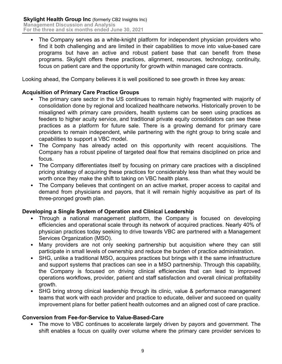• The Company serves as a white-knight platform for independent physician providers who find it both challenging and are limited in their capabilities to move into value-based care programs but have an active and robust patient base that can benefit from these programs. Skylight offers these practices, alignment, resources, technology, continuity, focus on patient care and the opportunity for growth within managed care contracts.

Looking ahead, the Company believes it is well positioned to see growth in three key areas:

## **Acquisition of Primary Care Practice Groups**

- The primary care sector in the US continues to remain highly fragmented with majority of consolidation done by regional and localized healthcare networks. Historically proven to be misaligned with primary care providers, health systems can be seen using practices as feeders to higher acuity service, and traditional private equity consolidators can see these practices as a platform for future sale. There is a growing demand for primary care providers to remain independent, while partnering with the right group to bring scale and capabilities to support a VBC model.
- The Company has already acted on this opportunity with recent acquisitions. The Company has a robust pipeline of targeted deal flow that remains disciplined on price and focus.
- The Company differentiates itself by focusing on primary care practices with a disciplined pricing strategy of acquiring these practices for considerably less than what they would be worth once they make the shift to taking on VBC health plans.
- The Company believes that contingent on an active market, proper access to capital and demand from physicians and payors, that it will remain highly acquisitive as part of its three-pronged growth plan.

## **Developing a Single System of Operation and Clinical Leadership**

- Through a national management platform, the Company is focused on developing efficiencies and operational scale through its network of acquired practices. Nearly 40% of physician practices today seeking to drive towards VBC are partnered with a Management Services Organization (MSO).
- Many providers are not only seeking partnership but acquisition where they can still participate in small levels of ownership and reduce the burden of practice administration.
- SHG, unlike a traditional MSO, acquires practices but brings with it the same infrastructure and support systems that practices can see in a MSO partnership. Through this capability, the Company is focused on driving clinical efficiencies that can lead to improved operations workflows, provider, patient and staff satisfaction and overall clinical profitability growth.
- SHG bring strong clinical leadership through its clinic, value & performance management teams that work with each provider and practice to educate, deliver and succeed on quality improvement plans for better patient health outcomes and an aligned cost of care practice.

#### **Conversion from Fee-for-Service to Value-Based-Care**

• The move to VBC continues to accelerate largely driven by payors and government. The shift enables a focus on quality over volume where the primary care provider services to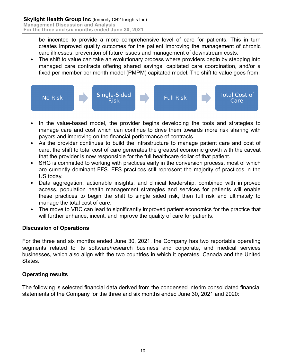be incented to provide a more comprehensive level of care for patients. This in turn creates improved quality outcomes for the patient improving the management of chronic care illnesses, prevention of future issues and management of downstream costs.

• The shift to value can take an evolutionary process where providers begin by stepping into managed care contracts offering shared savings, capitated care coordination, and/or a fixed per member per month model (PMPM) capitated model. The shift to value goes from:



- In the value-based model, the provider begins developing the tools and strategies to manage care and cost which can continue to drive them towards more risk sharing with payors and improving on the financial performance of contracts.
- As the provider continues to build the infrastructure to manage patient care and cost of care, the shift to total cost of care generates the greatest economic growth with the caveat that the provider is now responsible for the full healthcare dollar of that patient.
- SHG is committed to working with practices early in the conversion process, most of which are currently dominant FFS. FFS practices still represent the majority of practices in the US today.
- Data aggregation, actionable insights, and clinical leadership, combined with improved access, population health management strategies and services for patients will enable these practices to begin the shift to single sided risk, then full risk and ultimately to manage the total cost of care.
- The move to VBC can lead to significantly improved patient economics for the practice that will further enhance, incent, and improve the quality of care for patients.

## **Discussion of Operations**

For the three and six months ended June 30, 2021, the Company has two reportable operating segments related to its software/research business and corporate, and medical services businesses, which also align with the two countries in which it operates, Canada and the United States.

# **Operating results**

The following is selected financial data derived from the condensed interim consolidated financial statements of the Company for the three and six months ended June 30, 2021 and 2020: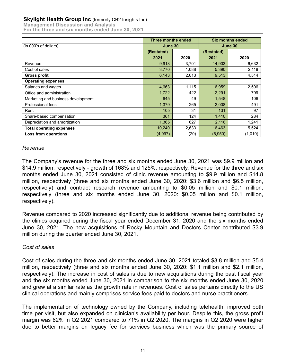#### **Skylight Health Group Inc** (formerly CB2 Insights Inc)

**Management Discussion and Analysis For the three and six months ended June 30, 2021**

|                                    | Three months ended |       | <b>Six months ended</b> |         |  |
|------------------------------------|--------------------|-------|-------------------------|---------|--|
| (in 000's of dollars)              | June 30            |       | June 30                 |         |  |
|                                    | (Restated)         |       | (Restated)              |         |  |
|                                    | 2021               | 2020  | 2021                    | 2020    |  |
| Revenue                            | 9,913              | 3,701 | 14,903                  | 6,632   |  |
| Cost of sales                      | 3,770              | 1,088 | 5,390                   | 2,118   |  |
| <b>Gross profit</b>                | 6,143              | 2,613 | 9,513                   | 4,514   |  |
| <b>Operating expenses</b>          |                    |       |                         |         |  |
| Salaries and wages                 | 4,663              | 1,115 | 6,959                   | 2,506   |  |
| Office and administration          | 1,722              | 422   | 2,291                   | 799     |  |
| Marketing and business development | 645                | 49    | 1,548                   | 106     |  |
| Professional fees                  | 1,379              | 265   | 2,008                   | 491     |  |
| Rent                               | 105                | 31    | 131                     | 97      |  |
| Share-based compensation           | 361                | 124   | 1,410                   | 284     |  |
| Depreciation and amortization      | 1,365              | 627   | 2,116                   | 1,241   |  |
| <b>Total operating expenses</b>    | 10,240             | 2,633 | 16,463                  | 5,524   |  |
| Loss from operations               | (4,097)            | (20)  | (6,950)                 | (1,010) |  |

## *Revenue*

The Company's revenue for the three and six months ended June 30, 2021 was \$9.9 million and \$14.9 million, respectively - growth of 168% and 125%, respectively. Revenue for the three and six months ended June 30, 2021 consisted of clinic revenue amounting to \$9.9 million and \$14.8 million, respectively (three and six months ended June 30, 2020: \$3.6 million and \$6.5 million, respectively) and contract research revenue amounting to \$0.05 million and \$0.1 million, respectively (three and six months ended June 30, 2020: \$0.05 million and \$0.1 million, respectively).

Revenue compared to 2020 increased significantly due to additional revenue being contributed by the clinics acquired during the fiscal year ended December 31, 2020 and the six months ended June 30, 2021. The new acquisitions of Rocky Mountain and Doctors Center contributed \$3.9 million during the quarter ended June 30, 2021.

## *Cost of sales*

Cost of sales during the three and six months ended June 30, 2021 totaled \$3.8 million and \$5.4 million, respectively (three and six months ended June 30, 2020: \$1.1 million and \$2.1 million, respectively). The increase in cost of sales is due to new acquisitions during the past fiscal year and the six months ended June 30, 2021 in comparison to the six months ended June 30, 2020 and grew at a similar rate as the growth rate in revenues. Cost of sales pertains directly to the US clinical operations and mainly comprises service fees paid to doctors and nurse practitioners.

The implementation of technology owned by the Company, including telehealth, improved both time per visit, but also expanded on clinician's availability per hour. Despite this, the gross profit margin was 62% in Q2 2021 compared to 71% in Q2 2020. The margins in Q2 2020 were higher due to better margins on legacy fee for services business which was the primary source of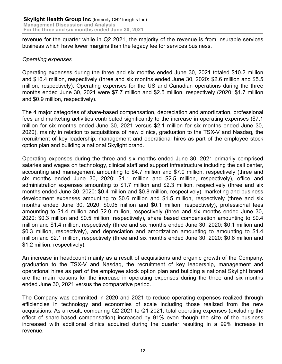revenue for the quarter while in Q2 2021, the majority of the revenue is from insurable services business which have lower margins than the legacy fee for services business.

#### *Operating expenses*

Operating expenses during the three and six months ended June 30, 2021 totaled \$10.2 million and \$16.4 million, respectively (three and six months ended June 30, 2020: \$2.6 million and \$5.5 million, respectively). Operating expenses for the US and Canadian operations during the three months ended June 30, 2021 were \$7.7 million and \$2.5 million, respectively (2020: \$1.7 million and \$0.9 million, respectively).

The 4 major categories of share-based compensation, depreciation and amortization, professional fees and marketing activities contributed significantly to the increase in operating expenses (\$7.1 million for six months ended June 30, 2021 versus \$2.1 million for six months ended June 30, 2020), mainly in relation to acquisitions of new clinics, graduation to the TSX-V and Nasdaq, the recruitment of key leadership, management and operational hires as part of the employee stock option plan and building a national Skylight brand.

Operating expenses during the three and six months ended June 30, 2021 primarily comprised salaries and wages on technology, clinical staff and support infrastructure including the call center, accounting and management amounting to \$4.7 million and \$7.0 million, respectively (three and six months ended June 30, 2020: \$1.1 million and \$2.5 million, respectively), office and administration expenses amounting to \$1.7 million and \$2.3 million, respectively (three and six months ended June 30, 2020: \$0.4 million and \$0.8 million, respectively), marketing and business development expenses amounting to \$0.6 million and \$1.5 million, respectively (three and six months ended June 30, 2020: \$0.05 million and \$0.1 million, respectively), professional fees amounting to \$1.4 million and \$2.0 million, respectively (three and six months ended June 30, 2020: \$0.3 million and \$0.5 million, respectively), share based compensation amounting to \$0.4 million and \$1.4 million, respectively (three and six months ended June 30, 2020: \$0.1 million and \$0.3 million, respectively), and depreciation and amortization amounting to amounting to \$1.4 million and \$2.1 million, respectively (three and six months ended June 30, 2020: \$0.6 million and \$1.2 million, respectively).

An increase in headcount mainly as a result of acquisitions and organic growth of the Company, graduation to the TSX-V and Nasdaq, the recruitment of key leadership, management and operational hires as part of the employee stock option plan and building a national Skylight brand are the main reasons for the increase in operating expenses during the three and six months ended June 30, 2021 versus the comparative period.

The Company was committed in 2020 and 2021 to reduce operating expenses realized through efficiencies in technology and economies of scale including those realized from the new acquisitions. As a result, comparing Q2 2021 to Q1 2021, total operating expenses (excluding the effect of share-based compensation) increased by 91% even though the size of the business increased with additional clinics acquired during the quarter resulting in a 99% increase in revenue.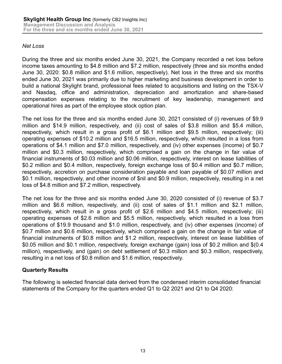## *Net Loss*

During the three and six months ended June 30, 2021, the Company recorded a net loss before income taxes amounting to \$4.8 million and \$7.2 million, respectively (three and six months ended June 30, 2020: \$0.8 million and \$1.6 million, respectively). Net loss in the three and six months ended June 30, 2021 was primarily due to higher marketing and business development in order to build a national Skylight brand, professional fees related to acquisitions and listing on the TSX-V and Nasdaq, office and administration, depreciation and amortization and share-based compensation expenses relating to the recruitment of key leadership, management and operational hires as part of the employee stock option plan.

The net loss for the three and six months ended June 30, 2021 consisted of (i) revenues of \$9.9 million and \$14.9 million, respectively, and (ii) cost of sales of \$3.8 million and \$5.4 million, respectively, which result in a gross profit of \$6.1 million and \$9.5 million, respectively; (iii) operating expenses of \$10.2 million and \$16.5 million, respectively, which resulted in a loss from operations of \$4.1 million and \$7.0 million, respectively, and (iv) other expenses (income) of \$0.7 million and \$0.3 million, respectively, which comprised a gain on the change in fair value of financial instruments of \$0.03 million and \$0.06 million, respectively, interest on lease liabilities of \$0.2 million and \$0.4 million, respectively, foreign exchange loss of \$0.4 million and \$0.7 million, respectively, accretion on purchase consideration payable and loan payable of \$0.07 million and \$0.1 million, respectively, and other income of \$nil and \$0.9 million, respectively, resulting in a net loss of \$4.8 million and \$7.2 million, respectively.

The net loss for the three and six months ended June 30, 2020 consisted of (i) revenue of \$3.7 million and \$6.6 million, respectively, and (ii) cost of sales of \$1.1 million and \$2.1 million, respectively, which result in a gross profit of \$2.6 million and \$4.5 million, respectively; (iii) operating expenses of \$2.6 million and \$5.5 million, respectively, which resulted in a loss from operations of \$19.9 thousand and \$1.0 million, respectively, and (iv) other expenses (income) of \$0.7 million and \$0.6 million, respectively, which comprised a gain on the change in fair value of financial instruments of \$0.8 million and \$1.2 million, respectively, interest on lease liabilities of \$0.05 million and \$0.1 million, respectively, foreign exchange (gain) loss of \$0.2 million and \$(0.4 million), respectively, and (gain) on debt settlement of \$0.3 million and \$0.3 million, respectively, resulting in a net loss of \$0.8 million and \$1.6 million, respectively.

## **Quarterly Results**

The following is selected financial data derived from the condensed interim consolidated financial statements of the Company for the quarters ended Q1 to Q2 2021 and Q1 to Q4 2020: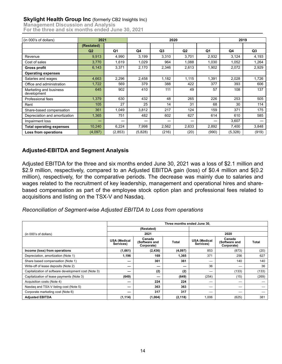#### **Skylight Health Group Inc (formerly CB2 Insights Inc)**

**Management Discussion and Analysis For the three and six months ended June 30, 2021**

| (in 000's of dollars)                 | 2021       |                | 2020    |                |                | 2019           |         |       |
|---------------------------------------|------------|----------------|---------|----------------|----------------|----------------|---------|-------|
|                                       | (Restated) |                |         |                |                |                |         |       |
|                                       | Q2         | Q <sub>1</sub> | Q4      | Q <sub>3</sub> | Q <sub>2</sub> | Q <sub>1</sub> | Q4      | Q3    |
| Revenue                               | 9,913      | 4,990          | 3,199   | 3,310          | 3,701          | 2,932          | 3,124   | 4,193 |
| Cost of sales                         | 3,770      | 1,619          | 1,029   | 964            | 1,088          | 1.030          | 1,052   | 1,264 |
| <b>Gross profit</b>                   | 6,143      | 3,371          | 2,170   | 2,346          | 2,613          | 1.902          | 2,072   | 2,929 |
| <b>Operating expenses</b>             |            |                |         |                |                |                |         |       |
| Salaries and wages                    | 4,663      | 2.296          | 2,458   | 1,182          | 1,115          | 1,391          | 2,028   | 1,726 |
| Office and administration             | 1,722      | 569            | 379     | 388            | 422            | 377            | 393     | 606   |
| Marketing and business<br>development | 645        | 902            | 410     | 111            | 49             | 57             | 108     | 137   |
| Professional fees                     | 1,379      | 630            | 432     | 48             | 265            | 226            | 253     | 505   |
| Rent                                  | 105        | 27             | 25      | 14             | 31             | 68             | 30      | 114   |
| Share-based compensation              | 361        | 1,049          | 3,812   | 217            | 124            | 159            | 371     | 175   |
| Depreciation and amortization         | 1,365      | 751            | 482     | 602            | 627            | 614            | 610     | 585   |
| Impairment loss                       | _          | -              |         |                | –              |                | 3,607   |       |
| <b>Total operating expenses</b>       | 10,240     | 6,224          | 7,998   | 2,562          | 2,633          | 2,892          | 7,400   | 3,848 |
| Loss from operations                  | (4,097)    | (2,853)        | (5,828) | (216)          | (20)           | (990)          | (5,328) | (919) |

## **Adjusted-EBITDA and Segment Analysis**

Adjusted EBITDA for the three and six months ended June 30, 2021 was a loss of \$2.1 million and \$2.9 million, respectively, compared to an Adjusted EBITDA gain (loss) of \$0.4 million and \$(0.2 million), respectively, for the comparative periods. The decrease was mainly due to salaries and wages related to the recruitment of key leadership, management and operational hires and sharebased compensation as part of the employee stock option plan and professional fees related to acquisitions and listing on the TSX-V and Nasdaq.

*Reconciliation of Segment-wise Adjusted EBITDA to Loss from operations*

|                                                      | Three months ended June 30,      |                                       |              |                                  |                                       |              |  |
|------------------------------------------------------|----------------------------------|---------------------------------------|--------------|----------------------------------|---------------------------------------|--------------|--|
|                                                      | (Restated)                       |                                       |              |                                  |                                       |              |  |
| (in 000's of dollars)                                |                                  | 2021                                  |              | 2020                             |                                       |              |  |
|                                                      | <b>USA (Medical</b><br>Services) | Canada<br>(Software and<br>Corporate) | <b>Total</b> | <b>USA (Medical</b><br>Services) | Canada<br>(Software and<br>Corporate) | <b>Total</b> |  |
| Income (loss) from operations                        | (1,661)                          | (2, 436)                              | (4,097)      | 853                              | (873)                                 | (20)         |  |
| Depreciation, amortization (Note 1)                  | 1,196                            | 169                                   | 1,365        | 371                              | 256                                   | 627          |  |
| Share based compensation (Note 1)                    | –                                | 361                                   | 361          |                                  | 140                                   | 140          |  |
| Write-off of lease deposits (Note 2)                 | –                                | –                                     | --           | 36                               | –                                     | 36           |  |
| Capitalization of software development cost (Note 3) | --                               | (2)                                   | (2)          | _                                | (133)                                 | (133)        |  |
| Capitalization of lease payments (Note 3)            | (649)                            |                                       | (649)        | (254)                            | (15)                                  | (269)        |  |
| Acquisition costs (Note 4)                           |                                  | 224                                   | 224          |                                  | –                                     |              |  |
| Nasdag and TSX-V listing cost (Note 5)               | –                                | 363                                   | 363          |                                  | –                                     |              |  |
| Corporate marketing cost (Note 6)                    |                                  | 317                                   | 317          |                                  |                                       |              |  |
| <b>Adjusted EBITDA</b>                               | (1, 114)                         | (1,004)                               | (2, 118)     | 1,006                            | (625)                                 | 381          |  |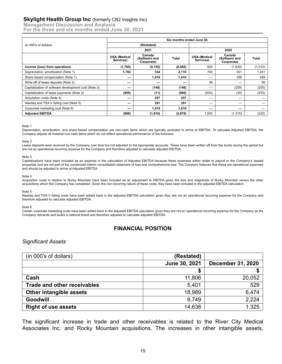#### **Skylight Health Group Inc** (formerly CB2 Insights Inc)

**Management Discussion and Analysis For the three and six months ended June 30, 2021**

|                                                      | Six months ended June 30, |                                       |              |                                  |                                       |         |  |  |
|------------------------------------------------------|---------------------------|---------------------------------------|--------------|----------------------------------|---------------------------------------|---------|--|--|
| (in 000's of dollars)                                | (Restated)                |                                       |              |                                  |                                       |         |  |  |
|                                                      |                           | 2021                                  |              |                                  | 2020                                  |         |  |  |
|                                                      | USA (Medical<br>Services) | Canada<br>(Software and<br>Corporate) | <b>Total</b> | <b>USA (Medical</b><br>Services) | Canada<br>(Software and<br>Corporate) | Total   |  |  |
| Income (loss) from operations                        | (1,795)                   | (5, 155)                              | (6,950)      | 820                              | (1,830)                               | (1,010) |  |  |
| Depreciation, amortization (Note 1)                  | 1,782                     | 334                                   | 2,116        | 740                              | 501                                   | 1,241   |  |  |
| Share based compensation (Note 1)                    | –                         | 1,410                                 | 1,410        | –                                | 299                                   | 299     |  |  |
| Write-off of lease deposits (Note 2)                 | –                         |                                       |              | 36                               | –                                     | 36      |  |  |
| Capitalization of software development cost (Note 3) | -                         | (146)                                 | (146)        | –                                | (255)                                 | (255)   |  |  |
| Capitalization of lease payments (Note 3)            | (955)                     | (11)                                  | (966)        | (503)                            | (30)                                  | (533)   |  |  |
| Acquisition costs (Note 4)                           | –                         | 257                                   | 257          |                                  | –                                     |         |  |  |
| Nasdag and TSX-V listing cost (Note 5)               |                           | 391                                   | 391          |                                  | –                                     |         |  |  |
| Corporate marketing cost (Note 6)                    | –                         | 1,010                                 | 1,010        |                                  | –                                     |         |  |  |
| <b>Adiusted EBITDA</b>                               | (968)                     | (1,910)                               | (2,878)      | 1,093                            | (1, 315)                              | (222)   |  |  |

#### Note 1

Depreciation, amortization, and share-based compensation are non-cash items which are typically excluded to arrive at EBITDA. To calculate Adjusted EBITDA, the Company adjusts all material non-cash items which do not reflect operational performance of the business.

#### Note 2

Lease deposits were received by the Company over time but not adjusted to the appropriate accounts. These have been written off from the books during the period but are not an operational recurring expense for the Company and therefore adjusted to calculate adjusted EBITDA.

#### Note 3

Capitalizations have been included as an expense in the calculation of Adjusted EBITDA because these expenses either relate to payroll or the Company's leased properties and are not part of the condensed interim consolidated statement of loss and comprehensive loss. The Company believes that these are operational expenses and should be adjusted to arrive at Adjusted EBITDA.

#### Note 4

Acquisition costs in relation to Rocky Mountain have been included as an adjustment to EBITDA given the size and magnitude of Rocky Mountain versus the other acquisitions which the Company has completed. Given the non-recurring nature of these costs, they have been included in the adjusted EBITDA calculation.

#### Note 5

Nasdaq and TSX-V listing costs have been added back in the adjusted EBITDA calculation given they are not an operational recurring expense for the Company and therefore adjusted to calculate adjusted EBITDA.

#### Note 6

Certain corporate marketing costs have been added back in the adjusted EBITDA calculation given they are not an operational recurring expense for the Company as the Company rebrands and builds a national brand and therefore adjusted to calculate adjusted EBITDA.

#### **FINANCIAL POSITION**

#### *Significant Assets*

| (in 000's of dollars)              | (Restated)    |                          |
|------------------------------------|---------------|--------------------------|
|                                    | June 30, 2021 | <b>December 31, 2020</b> |
|                                    |               |                          |
| Cash                               | 11,806        | 20,052                   |
| <b>Trade and other receivables</b> | 5,401         | 529                      |
| Other intangible assets            | 18,989        | 6,474                    |
| Goodwill                           | 9,749         | 2,224                    |
| <b>Right of use assets</b>         | 14,638        | 1,325                    |

The significant increase in trade and other receivables is related to the River City Medical Associates Inc. and Rocky Mountain acquisitions. The increases in other intangible assets,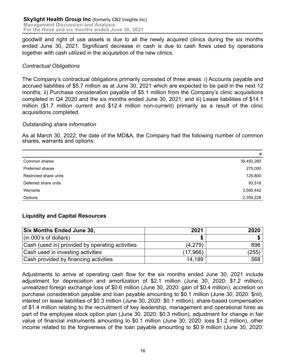goodwill and right of use assets is due to all the newly acquired clinics during the six months ended June 30, 2021. Significant decrease in cash is due to cash flows used by operations together with cash utilized in the acquisition of the new clinics.

## *Contractual Obligations*

The Company's contractual obligations primarily consisted of three areas: i) Accounts payable and accrued liabilities of \$5.7 million as at June 30, 2021 which are expected to be paid in the next 12 months; ii) Purchase consideration payable of \$5.1 million from the Company's clinic acquisitions completed in Q4 2020 and the six months ended June 30, 2021; and iii) Lease liabilities of \$14.1 million (\$1.7 million current and \$12.4 million non-current) primarily as a result of the clinic acquisitions completed.

#### *Outstanding share information*

As at March 30, 2022, the date of the MD&A, the Company had the following number of common shares, warrants and options:

|                        | #          |
|------------------------|------------|
| Common shares          | 39,450,260 |
| Preferred shares       | 275,000    |
| Restricted share units | 125,800    |
| Deferred share units   | 93,518     |
| Warrants               | 3,585,442  |
| Options                | 2,359,228  |

## **Liquidity and Capital Resources**

| <b>Six Months Ended June 30,</b>                | 2021     | 2020  |
|-------------------------------------------------|----------|-------|
| $\vert$ (in 000's of dollars)                   |          |       |
| Cash (used in) provided by operating activities | (4,279)  | 896   |
| Cash used in investing activities               | (17,966) | (255) |
| Cash provided by financing activities           | 14.189   | 568   |

Adjustments to arrive at operating cash flow for the six months ended June 30, 2021 include adjustment for depreciation and amortization of \$2.1 million (June 30, 2020: \$1.2 million), unrealized foreign exchange loss of \$0.6 million (June 30, 2020: gain of \$0.4 million), accretion on purchase consideration payable and loan payable amounting to \$0.1 million (June 30, 2020: \$nil), interest on lease liabilities of \$0.3 million (June 30, 2020: \$0.1 million), share-based compensation of \$1.4 million relating to the recruitment of key leadership, management and operational hires as part of the employee stock option plan (June 30, 2020: \$0.3 million), adjustment for change in fair value of financial instruments amounting to \$0.1 million (June 30, 2020: loss \$1.2 million), other income related to the forgiveness of the loan payable amounting to \$0.9 million (June 30, 2020: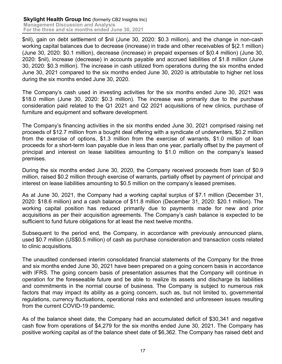\$nil), gain on debt settlement of \$nil (June 30, 2020: \$0.3 million), and the change in non-cash working capital balances due to decrease (increase) in trade and other receivables of \$(2.1 million) (June 30, 2020: \$0.1 million), decrease (increase) in prepaid expenses of \$(0.4 million) (June 30, 2020: \$nil), increase (decrease) in accounts payable and accrued liabilities of \$1.8 million (June 30, 2020: \$0.3 million). The increase in cash utilized from operations during the six months ended June 30, 2021 compared to the six months ended June 30, 2020 is attributable to higher net loss during the six months ended June 30, 2020.

The Company's cash used in investing activities for the six months ended June 30, 2021 was \$18.0 million (June 30, 2020: \$0.3 million). The increase was primarily due to the purchase consideration paid related to the Q1 2021 and Q2 2021 acquisitions of new clinics, purchase of furniture and equipment and software development.

The Company's financing activities in the six months ended June 30, 2021 comprised raising net proceeds of \$12.7 million from a bought deal offering with a syndicate of underwriters, \$0.2 million from the exercise of options, \$1.3 million from the exercise of warrants, \$1.0 million of loan proceeds for a short-term loan payable due in less than one year, partially offset by the payment of principal and interest on lease liabilities amounting to \$1.0 million on the company's leased premises.

During the six months ended June 30, 2020, the Company received proceeds from loan of \$0.9 million, raised \$0.2 million through exercise of warrants, partially offset by payment of principal and interest on lease liabilities amounting to \$0.5 million on the company's leased premises.

As at June 30, 2021, the Company had a working capital surplus of \$7.1 million (December 31, 2020: \$18.6 million) and a cash balance of \$11.8 million (December 31, 2020: \$20.1 million). The working capital position has reduced primarily due to payments made for new and prior acquisitions as per their acquisition agreements. The Company's cash balance is expected to be sufficient to fund future obligations for at least the next twelve months.

Subsequent to the period end, the Company, in accordance with previously announced plans, used \$0.7 million (US\$0.5 million) of cash as purchase consideration and transaction costs related to clinic acquisitions.

The unaudited condensed interim consolidated financial statements of the Company for the three and six months ended June 30, 2021 have been prepared on a going concern basis in accordance with IFRS. The going concern basis of presentation assumes that the Company will continue in operation for the foreseeable future and be able to realize its assets and discharge its liabilities and commitments in the normal course of business. The Company is subject to numerous risk factors that may impact its ability as a going concern, such as, but not limited to, governmental regulations, currency fluctuations, operational risks and extended and unforeseen issues resulting from the current COVID-19 pandemic.

As of the balance sheet date, the Company had an accumulated deficit of \$30,341 and negative cash flow from operations of \$4,279 for the six months ended June 30, 2021. The Company has positive working capital as of the balance sheet date of \$6,362. The Company has raised debt and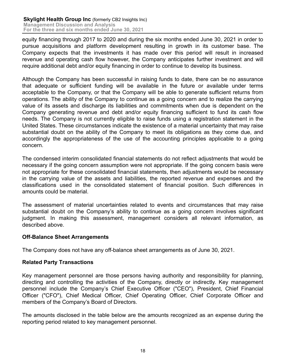equity financing through 2017 to 2020 and during the six months ended June 30, 2021 in order to pursue acquisitions and platform development resulting in growth in its customer base. The Company expects that the investments it has made over this period will result in increased revenue and operating cash flow however, the Company anticipates further investment and will require additional debt and/or equity financing in order to continue to develop its business.

Although the Company has been successful in raising funds to date, there can be no assurance that adequate or sufficient funding will be available in the future or available under terms acceptable to the Company, or that the Company will be able to generate sufficient returns from operations. The ability of the Company to continue as a going concern and to realize the carrying value of its assets and discharge its liabilities and commitments when due is dependent on the Company generating revenue and debt and/or equity financing sufficient to fund its cash flow needs. The Company is not currently eligible to raise funds using a registration statement in the United States. These circumstances indicate the existence of a material uncertainty that may raise substantial doubt on the ability of the Company to meet its obligations as they come due, and accordingly the appropriateness of the use of the accounting principles applicable to a going concern.

The condensed interim consolidated financial statements do not reflect adjustments that would be necessary if the going concern assumption were not appropriate. If the going concern basis were not appropriate for these consolidated financial statements, then adjustments would be necessary in the carrying value of the assets and liabilities, the reported revenue and expenses and the classifications used in the consolidated statement of financial position. Such differences in amounts could be material.

The assessment of material uncertainties related to events and circumstances that may raise substantial doubt on the Company's ability to continue as a going concern involves significant judgment. In making this assessment, management considers all relevant information, as described above.

## **Off-Balance Sheet Arrangements**

The Company does not have any off-balance sheet arrangements as of June 30, 2021.

#### **Related Party Transactions**

Key management personnel are those persons having authority and responsibility for planning, directing and controlling the activities of the Company, directly or indirectly. Key management personnel include the Company's Chief Executive Officer ("CEO"), President, Chief Financial Officer ("CFO"), Chief Medical Officer, Chief Operating Officer, Chief Corporate Officer and members of the Company's Board of Directors.

The amounts disclosed in the table below are the amounts recognized as an expense during the reporting period related to key management personnel.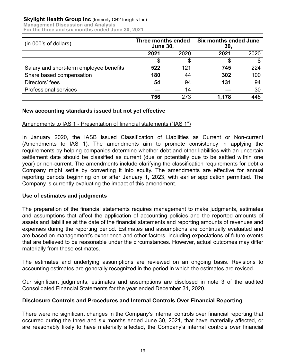## **Skylight Health Group Inc** (formerly CB2 Insights Inc)

**Management Discussion and Analysis** 

**For the three and six months ended June 30, 2021**

| (in 000's of dollars)                   | Three months ended<br><b>June 30,</b> |      | <b>Six months ended June</b><br>30, |      |
|-----------------------------------------|---------------------------------------|------|-------------------------------------|------|
|                                         | 2021                                  | 2020 | 2021                                | 2020 |
|                                         | \$                                    | S    |                                     | \$   |
| Salary and short-term employee benefits | 522                                   | 121  | 745                                 | 224  |
| Share based compensation                | 180                                   | 44   | 302                                 | 100  |
| Directors' fees                         | 54                                    | 94   | 131                                 | 94   |
| <b>Professional services</b>            |                                       | 14   |                                     | 30   |
|                                         | 756                                   | 273  | 1.178                               | 448  |

#### **New accounting standards issued but not yet effective**

## Amendments to IAS 1 - Presentation of financial statements ("IAS 1")

In January 2020, the IASB issued Classification of Liabilities as Current or Non-current (Amendments to IAS 1). The amendments aim to promote consistency in applying the requirements by helping companies determine whether debt and other liabilities with an uncertain settlement date should be classified as current (due or potentially due to be settled within one year) or non-current. The amendments include clarifying the classification requirements for debt a Company might settle by converting it into equity. The amendments are effective for annual reporting periods beginning on or after January 1, 2023, with earlier application permitted. The Company is currently evaluating the impact of this amendment.

#### **Use of estimates and judgments**

The preparation of the financial statements requires management to make judgments, estimates and assumptions that affect the application of accounting policies and the reported amounts of assets and liabilities at the date of the financial statements and reporting amounts of revenues and expenses during the reporting period. Estimates and assumptions are continually evaluated and are based on management's experience and other factors, including expectations of future events that are believed to be reasonable under the circumstances. However, actual outcomes may differ materially from these estimates.

The estimates and underlying assumptions are reviewed on an ongoing basis. Revisions to accounting estimates are generally recognized in the period in which the estimates are revised.

Our significant judgments, estimates and assumptions are disclosed in note 3 of the audited Consolidated Financial Statements for the year ended December 31, 2020.

#### **Disclosure Controls and Procedures and Internal Controls Over Financial Reporting**

There were no significant changes in the Company's internal controls over financial reporting that occurred during the three and six months ended June 30, 2021, that have materially affected, or are reasonably likely to have materially affected, the Company's internal controls over financial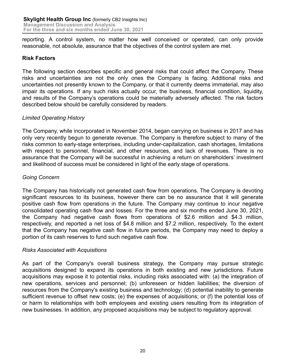reporting. A control system, no matter how well conceived or operated, can only provide reasonable, not absolute, assurance that the objectives of the control system are met.

## **Risk Factors**

The following section describes specific and general risks that could affect the Company. These risks and uncertainties are not the only ones the Company is facing. Additional risks and uncertainties not presently known to the Company, or that it currently deems immaterial, may also impair its operations. If any such risks actually occur, the business, financial condition, liquidity, and results of the Company's operations could be materially adversely affected. The risk factors described below should be carefully considered by readers.

## *Limited Operating History*

The Company, while incorporated in November 2014, began carrying on business in 2017 and has only very recently begun to generate revenue. The Company is therefore subject to many of the risks common to early-stage enterprises, including under-capitalization, cash shortages, limitations with respect to personnel, financial, and other resources, and lack of revenues. There is no assurance that the Company will be successful in achieving a return on shareholders' investment and likelihood of success must be considered in light of the early stage of operations.

## *Going Concern*

The Company has historically not generated cash flow from operations. The Company is devoting significant resources to its business, however there can be no assurance that it will generate positive cash flow from operations in the future. The Company may continue to incur negative consolidated operating cash flow and losses. For the three and six months ended June 30, 2021, the Company had negative cash flows from operations of \$2.6 million and \$4.3 million, respectively, and reported a net loss of \$4.8 million and \$7.2 million, respectively. To the extent that the Company has negative cash flow in future periods, the Company may need to deploy a portion of its cash reserves to fund such negative cash flow.

## *Risks Associated with Acquisitions*

As part of the Company's overall business strategy, the Company may pursue strategic acquisitions designed to expand its operations in both existing and new jurisdictions. Future acquisitions may expose it to potential risks, including risks associated with: (a) the integration of new operations, services and personnel; (b) unforeseen or hidden liabilities; the diversion of resources from the Company's existing business and technology; (d) potential inability to generate sufficient revenue to offset new costs; (e) the expenses of acquisitions; or (f) the potential loss of or harm to relationships with both employees and existing users resulting from its integration of new businesses. In addition, any proposed acquisitions may be subject to regulatory approval.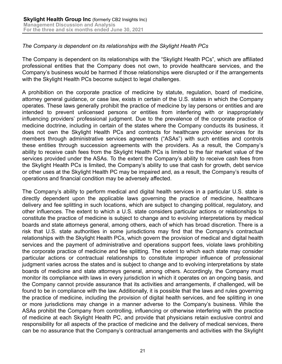## *The Company is dependent on its relationships with the Skylight Health PCs*

The Company is dependent on its relationships with the "Skylight Health PCs", which are affiliated professional entities that the Company does not own, to provide healthcare services, and the Company's business would be harmed if those relationships were disrupted or if the arrangements with the Skylight Health PCs become subject to legal challenges.

A prohibition on the corporate practice of medicine by statute, regulation, board of medicine, attorney general guidance, or case law, exists in certain of the U.S. states in which the Company operates. These laws generally prohibit the practice of medicine by lay persons or entities and are intended to prevent unlicensed persons or entities from interfering with or inappropriately influencing providers' professional judgment. Due to the prevalence of the corporate practice of medicine doctrine, including in certain of the states where the Company conducts its business, it does not own the Skylight Health PCs and contracts for healthcare provider services for its members through administrative services agreements ("ASAs") with such entities and controls these entities through succession agreements with the providers. As a result, the Company's ability to receive cash fees from the Skylight Health PCs is limited to the fair market value of the services provided under the ASAs. To the extent the Company's ability to receive cash fees from the Skylight Health PCs is limited, the Company's ability to use that cash for growth, debt service or other uses at the Skylight Health PC may be impaired and, as a result, the Company's results of operations and financial condition may be adversely affected.

The Company's ability to perform medical and digital health services in a particular U.S. state is directly dependent upon the applicable laws governing the practice of medicine, healthcare delivery and fee splitting in such locations, which are subject to changing political, regulatory, and other influences. The extent to which a U.S. state considers particular actions or relationships to constitute the practice of medicine is subject to change and to evolving interpretations by medical boards and state attorneys general, among others, each of which has broad discretion. There is a risk that U.S. state authorities in some jurisdictions may find that the Company's contractual relationships with the Skylight Health PCs, which govern the provision of medical and digital health services and the payment of administrative and operations support fees, violate laws prohibiting the corporate practice of medicine and fee splitting. The extent to which each state may consider particular actions or contractual relationships to constitute improper influence of professional judgment varies across the states and is subject to change and to evolving interpretations by state boards of medicine and state attorneys general, among others. Accordingly, the Company must monitor its compliance with laws in every jurisdiction in which it operates on an ongoing basis, and the Company cannot provide assurance that its activities and arrangements, if challenged, will be found to be in compliance with the law. Additionally, it is possible that the laws and rules governing the practice of medicine, including the provision of digital health services, and fee splitting in one or more jurisdictions may change in a manner adverse to the Company's business. While the ASAs prohibit the Company from controlling, influencing or otherwise interfering with the practice of medicine at each Skylight Health PC, and provide that physicians retain exclusive control and responsibility for all aspects of the practice of medicine and the delivery of medical services, there can be no assurance that the Company's contractual arrangements and activities with the Skylight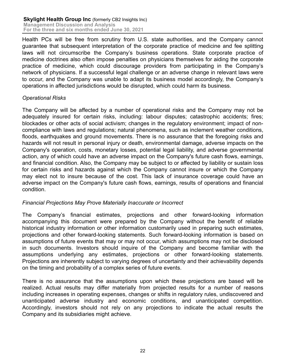Health PCs will be free from scrutiny from U.S. state authorities, and the Company cannot guarantee that subsequent interpretation of the corporate practice of medicine and fee splitting laws will not circumscribe the Company's business operations. State corporate practice of medicine doctrines also often impose penalties on physicians themselves for aiding the corporate practice of medicine, which could discourage providers from participating in the Company's network of physicians. If a successful legal challenge or an adverse change in relevant laws were to occur, and the Company was unable to adapt its business model accordingly, the Company's operations in affected jurisdictions would be disrupted, which could harm its business.

## *Operational Risks*

The Company will be affected by a number of operational risks and the Company may not be adequately insured for certain risks, including: labour disputes; catastrophic accidents; fires; blockades or other acts of social activism; changes in the regulatory environment; impact of noncompliance with laws and regulations; natural phenomena, such as inclement weather conditions, floods, earthquakes and ground movements. There is no assurance that the foregoing risks and hazards will not result in personal injury or death, environmental damage, adverse impacts on the Company's operation, costs, monetary losses, potential legal liability, and adverse governmental action, any of which could have an adverse impact on the Company's future cash flows, earnings, and financial condition. Also, the Company may be subject to or affected by liability or sustain loss for certain risks and hazards against which the Company cannot insure or which the Company may elect not to insure because of the cost. This lack of insurance coverage could have an adverse impact on the Company's future cash flows, earnings, results of operations and financial condition.

## *Financial Projections May Prove Materially Inaccurate or Incorrect*

The Company's financial estimates, projections and other forward-looking information accompanying this document were prepared by the Company without the benefit of reliable historical industry information or other information customarily used in preparing such estimates, projections and other forward-looking statements. Such forward-looking information is based on assumptions of future events that may or may not occur, which assumptions may not be disclosed in such documents. Investors should inquire of the Company and become familiar with the assumptions underlying any estimates, projections or other forward-looking statements. Projections are inherently subject to varying degrees of uncertainty and their achievability depends on the timing and probability of a complex series of future events.

There is no assurance that the assumptions upon which these projections are based will be realized. Actual results may differ materially from projected results for a number of reasons including increases in operating expenses, changes or shifts in regulatory rules, undiscovered and unanticipated adverse industry and economic conditions, and unanticipated competition. Accordingly, investors should not rely on any projections to indicate the actual results the Company and its subsidiaries might achieve.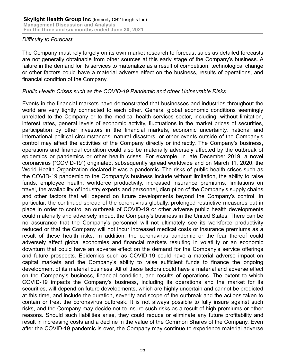## *Difficulty to Forecast*

The Company must rely largely on its own market research to forecast sales as detailed forecasts are not generally obtainable from other sources at this early stage of the Company's business. A failure in the demand for its services to materialize as a result of competition, technological change or other factors could have a material adverse effect on the business, results of operations, and financial condition of the Company.

#### *Public Health Crises such as the COVID-19 Pandemic and other Uninsurable Risks*

Events in the financial markets have demonstrated that businesses and industries throughout the world are very tightly connected to each other. General global economic conditions seemingly unrelated to the Company or to the medical health services sector, including, without limitation, interest rates, general levels of economic activity, fluctuations in the market prices of securities, participation by other investors in the financial markets, economic uncertainty, national and international political circumstances, natural disasters, or other events outside of the Company's control may affect the activities of the Company directly or indirectly. The Company's business, operations and financial condition could also be materially adversely affected by the outbreak of epidemics or pandemics or other health crises. For example, in late December 2019, a novel coronavirus ("COVID-19") originated, subsequently spread worldwide and on March 11, 2020, the World Health Organization declared it was a pandemic. The risks of public health crises such as the COVID-19 pandemic to the Company's business include without limitation, the ability to raise funds, employee health, workforce productivity, increased insurance premiums, limitations on travel, the availability of industry experts and personnel, disruption of the Company's supply chains and other factors that will depend on future developments beyond the Company's control. In particular, the continued spread of the coronavirus globally, prolonged restrictive measures put in place in order to control an outbreak of COVID-19 or other adverse public health developments could materially and adversely impact the Company's business in the United States. There can be no assurance that the Company's personnel will not ultimately see its workforce productivity reduced or that the Company will not incur increased medical costs or insurance premiums as a result of these health risks. In addition, the coronavirus pandemic or the fear thereof could adversely affect global economies and financial markets resulting in volatility or an economic downturn that could have an adverse effect on the demand for the Company's service offerings and future prospects. Epidemics such as COVID-19 could have a material adverse impact on capital markets and the Company's ability to raise sufficient funds to finance the ongoing development of its material business. All of these factors could have a material and adverse effect on the Company's business, financial condition, and results of operations. The extent to which COVID-19 impacts the Company's business, including its operations and the market for its securities, will depend on future developments, which are highly uncertain and cannot be predicted at this time, and include the duration, severity and scope of the outbreak and the actions taken to contain or treat the coronavirus outbreak. It is not always possible to fully insure against such risks, and the Company may decide not to insure such risks as a result of high premiums or other reasons. Should such liabilities arise, they could reduce or eliminate any future profitability and result in increasing costs and a decline in the value of the Common Shares of the Company. Even after the COVID-19 pandemic is over, the Company may continue to experience material adverse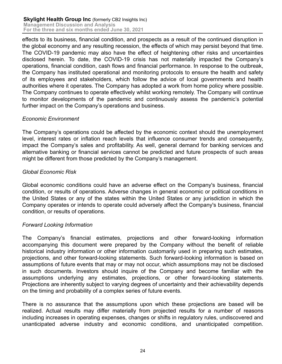effects to its business, financial condition, and prospects as a result of the continued disruption in the global economy and any resulting recession, the effects of which may persist beyond that time. The COVID-19 pandemic may also have the effect of heightening other risks and uncertainties disclosed herein. To date, the COVID-19 crisis has not materially impacted the Company's operations, financial condition, cash flows and financial performance. In response to the outbreak, the Company has instituted operational and monitoring protocols to ensure the health and safety of its employees and stakeholders, which follow the advice of local governments and health authorities where it operates. The Company has adopted a work from home policy where possible. The Company continues to operate effectively whilst working remotely. The Company will continue to monitor developments of the pandemic and continuously assess the pandemic's potential further impact on the Company's operations and business.

## *Economic Environment*

The Company's operations could be affected by the economic context should the unemployment level, interest rates or inflation reach levels that influence consumer trends and consequently, impact the Company's sales and profitability. As well, general demand for banking services and alternative banking or financial services cannot be predicted and future prospects of such areas might be different from those predicted by the Company's management.

## *Global Economic Risk*

Global economic conditions could have an adverse effect on the Company's business, financial condition, or results of operations. Adverse changes in general economic or political conditions in the United States or any of the states within the United States or any jurisdiction in which the Company operates or intends to operate could adversely affect the Company's business, financial condition, or results of operations.

## *Forward Looking Information*

The Company's financial estimates, projections and other forward-looking information accompanying this document were prepared by the Company without the benefit of reliable historical industry information or other information customarily used in preparing such estimates, projections, and other forward-looking statements. Such forward-looking information is based on assumptions of future events that may or may not occur, which assumptions may not be disclosed in such documents. Investors should inquire of the Company and become familiar with the assumptions underlying any estimates, projections, or other forward-looking statements. Projections are inherently subject to varying degrees of uncertainty and their achievability depends on the timing and probability of a complex series of future events.

There is no assurance that the assumptions upon which these projections are based will be realized. Actual results may differ materially from projected results for a number of reasons including increases in operating expenses, changes or shifts in regulatory rules, undiscovered and unanticipated adverse industry and economic conditions, and unanticipated competition.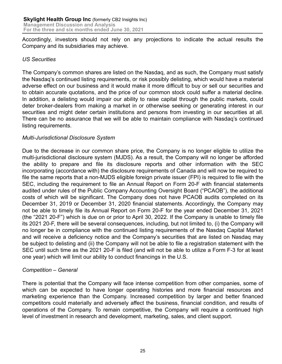Accordingly, investors should not rely on any projections to indicate the actual results the Company and its subsidiaries may achieve.

## *US Securities*

The Company's common shares are listed on the Nasdaq, and as such, the Company must satisfy the Nasdaq's continued listing requirements, or risk possibly delisting, which would have a material adverse effect on our business and it would make it more difficult to buy or sell our securities and to obtain accurate quotations, and the price of our common stock could suffer a material decline. In addition, a delisting would impair our ability to raise capital through the public markets, could deter broker-dealers from making a market in or otherwise seeking or generating interest in our securities and might deter certain institutions and persons from investing in our securities at all. There can be no assurance that we will be able to maintain compliance with Nasdaq's continued listing requirements.

## *Multi-Jurisdictional Disclosure System*

Due to the decrease in our common share price, the Company is no longer eligible to utilize the multi-jurisdictional disclosure system (MJDS). As a result, the Company will no longer be afforded the ability to prepare and file its disclosure reports and other information with the SEC incorporating (accordance with) the disclosure requirements of Canada and will now be required to file the same reports that a non-MJDS eligible foreign private issuer (FPI) is required to file with the SEC, including the requirement to file an Annual Report on Form 20-F with financial statements audited under rules of the Public Company Accounting Oversight Board ("PCAOB"), the additional costs of which will be significant. The Company does not have PCAOB audits completed on its December 31, 2019 or December 31, 2020 financial statements. Accordingly, the Company may not be able to timely file its Annual Report on Form 20-F for the year ended December 31, 2021 (the "2021 20-F") which is due on or prior to April 30, 2022. If the Company is unable to timely file its 2021 20-F, there will be several consequences, including, but not limited to, (i) the Company will no longer be in compliance with the continued listing requirements of the Nasdaq Capital Market and will receive a deficiency notice and the Company's securities that are listed on Nasdaq may be subject to delisting and (ii) the Company will not be able to file a registration statement with the SEC until such time as the 2021 20-F is filed (and will not be able to utilize a Form F-3 for at least one year) which will limit our ability to conduct financings in the U.S.

#### *Competition – General*

There is potential that the Company will face intense competition from other companies, some of which can be expected to have longer operating histories and more financial resources and marketing experience than the Company. Increased competition by larger and better financed competitors could materially and adversely affect the business, financial condition, and results of operations of the Company. To remain competitive, the Company will require a continued high level of investment in research and development, marketing, sales, and client support.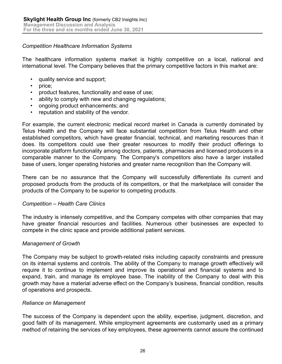#### *Competition Healthcare Information Systems*

The healthcare information systems market is highly competitive on a local, national and international level. The Company believes that the primary competitive factors in this market are:

- quality service and support;
- price:
- product features, functionality and ease of use;
- ability to comply with new and changing regulations;
- ongoing product enhancements; and
- reputation and stability of the vendor.

For example, the current electronic medical record market in Canada is currently dominated by Telus Health and the Company will face substantial competition from Telus Health and other established competitors, which have greater financial, technical, and marketing resources than it does. Its competitors could use their greater resources to modify their product offerings to incorporate platform functionality among doctors, patients, pharmacies and licensed producers in a comparable manner to the Company. The Company's competitors also have a larger installed base of users, longer operating histories and greater name recognition than the Company will.

There can be no assurance that the Company will successfully differentiate its current and proposed products from the products of its competitors, or that the marketplace will consider the products of the Company to be superior to competing products.

#### *Competition – Health Care Clinics*

The industry is intensely competitive, and the Company competes with other companies that may have greater financial resources and facilities. Numerous other businesses are expected to compete in the clinic space and provide additional patient services.

#### *Management of Growth*

The Company may be subject to growth-related risks including capacity constraints and pressure on its internal systems and controls. The ability of the Company to manage growth effectively will require it to continue to implement and improve its operational and financial systems and to expand, train, and manage its employee base. The inability of the Company to deal with this growth may have a material adverse effect on the Company's business, financial condition, results of operations and prospects.

#### *Reliance on Management*

The success of the Company is dependent upon the ability, expertise, judgment, discretion, and good faith of its management. While employment agreements are customarily used as a primary method of retaining the services of key employees, these agreements cannot assure the continued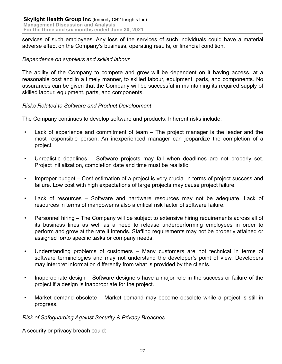services of such employees. Any loss of the services of such individuals could have a material adverse effect on the Company's business, operating results, or financial condition.

## *Dependence on suppliers and skilled labour*

The ability of the Company to compete and grow will be dependent on it having access, at a reasonable cost and in a timely manner, to skilled labour, equipment, parts, and components. No assurances can be given that the Company will be successful in maintaining its required supply of skilled labour, equipment, parts, and components.

## *Risks Related to Software and Product Development*

The Company continues to develop software and products. Inherent risks include:

- Lack of experience and commitment of team The project manager is the leader and the most responsible person. An inexperienced manager can jeopardize the completion of a project.
- Unrealistic deadlines Software projects may fail when deadlines are not properly set. Project initialization, completion date and time must be realistic.
- Improper budget Cost estimation of a project is very crucial in terms of project success and failure. Low cost with high expectations of large projects may cause project failure.
- Lack of resources Software and hardware resources may not be adequate. Lack of resources in terms of manpower is also a critical risk factor of software failure.
- Personnel hiring The Company will be subject to extensive hiring requirements across all of its business lines as well as a need to release underperforming employees in order to perform and grow at the rate it intends. Staffing requirements may not be properly attained or assigned for/to specific tasks or company needs.
- Understanding problems of customers Many customers are not technical in terms of software terminologies and may not understand the developer's point of view. Developers may interpret information differently from what is provided by the clients.
- Inappropriate design Software designers have a major role in the success or failure of the project if a design is inappropriate for the project.
- Market demand obsolete Market demand may become obsolete while a project is still in progress.

#### *Risk of Safeguarding Against Security & Privacy Breaches*

A security or privacy breach could: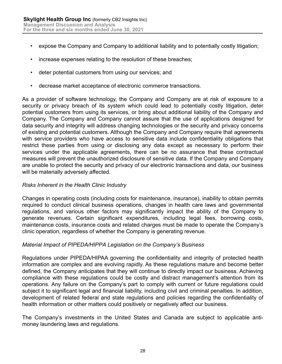- expose the Company and Company to additional liability and to potentially costly litigation;
- increase expenses relating to the resolution of these breaches;
- deter potential customers from using our services; and
- decrease market acceptance of electronic commerce transactions.

As a provider of software technology, the Company and Company are at risk of exposure to a security or privacy breach of its system which could lead to potentially costly litigation, deter potential customers from using its services, or bring about additional liability of the Company and Company. The Company and Company cannot assure that the use of applications designed for data security and integrity will address changing technologies or the security and privacy concerns of existing and potential customers. Although the Company and Company require that agreements with service providers who have access to sensitive data include confidentiality obligations that restrict these parties from using or disclosing any data except as necessary to perform their services under the applicable agreements, there can be no assurance that these contractual measures will prevent the unauthorized disclosure of sensitive data. If the Company and Company are unable to protect the security and privacy of our electronic transactions and data, our business will be materially adversely affected.

## *Risks Inherent in the Health Clinic Industry*

Changes in operating costs (including costs for maintenance, insurance), inability to obtain permits required to conduct clinical business operations, changes in health care laws and governmental regulations, and various other factors may significantly impact the ability of the Company to generate revenues. Certain significant expenditures, including legal fees, borrowing costs, maintenance costs, insurance costs and related charges must be made to operate the Company's clinic operation, regardless of whether the Company is generating revenue.

#### *Material Impact of PIPEDA/HIPPA Legislation on the Company's Business*

Regulations under PIPEDA/HIPAA governing the confidentiality and integrity of protected health information are complex and are evolving rapidly. As these regulations mature and become better defined, the Company anticipates that they will continue to directly impact our business. Achieving compliance with these regulations could be costly and distract management's attention from its operations. Any failure on the Company's part to comply with current or future regulations could subject it to significant legal and financial liability, including civil and criminal penalties. In addition, development of related federal and state regulations and policies regarding the confidentiality of health information or other matters could positively or negatively affect our business.

The Company's investments in the United States and Canada are subject to applicable antimoney laundering laws and regulations.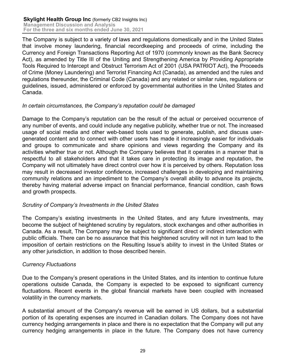The Company is subject to a variety of laws and regulations domestically and in the United States that involve money laundering, financial recordkeeping and proceeds of crime, including the Currency and Foreign Transactions Reporting Act of 1970 (commonly known as the Bank Secrecy Act), as amended by Title III of the Uniting and Strengthening America by Providing Appropriate Tools Required to Intercept and Obstruct Terrorism Act of 2001 (USA PATRIOT Act), the Proceeds of Crime (Money Laundering) and Terrorist Financing Act (Canada), as amended and the rules and regulations thereunder, the Criminal Code (Canada) and any related or similar rules, regulations or guidelines, issued, administered or enforced by governmental authorities in the United States and Canada.

## *In certain circumstances, the Company's reputation could be damaged*

Damage to the Company's reputation can be the result of the actual or perceived occurrence of any number of events, and could include any negative publicity, whether true or not. The increased usage of social media and other web-based tools used to generate, publish, and discuss usergenerated content and to connect with other users has made it increasingly easier for individuals and groups to communicate and share opinions and views regarding the Company and its activities whether true or not. Although the Company believes that it operates in a manner that is respectful to all stakeholders and that it takes care in protecting its image and reputation, the Company will not ultimately have direct control over how it is perceived by others. Reputation loss may result in decreased investor confidence, increased challenges in developing and maintaining community relations and an impediment to the Company's overall ability to advance its projects, thereby having material adverse impact on financial performance, financial condition, cash flows and growth prospects.

#### *Scrutiny of Company's Investments in the United States*

The Company's existing investments in the United States, and any future investments, may become the subject of heightened scrutiny by regulators, stock exchanges and other authorities in Canada. As a result, The Company may be subject to significant direct or indirect interaction with public officials. There can be no assurance that this heightened scrutiny will not in turn lead to the imposition of certain restrictions on the Resulting Issue's ability to invest in the United States or any other jurisdiction, in addition to those described herein.

## *Currency Fluctuations*

Due to the Company's present operations in the United States, and its intention to continue future operations outside Canada, the Company is expected to be exposed to significant currency fluctuations. Recent events in the global financial markets have been coupled with increased volatility in the currency markets.

A substantial amount of the Company's revenue will be earned in US dollars, but a substantial portion of its operating expenses are incurred in Canadian dollars. The Company does not have currency hedging arrangements in place and there is no expectation that the Company will put any currency hedging arrangements in place in the future. The Company does not have currency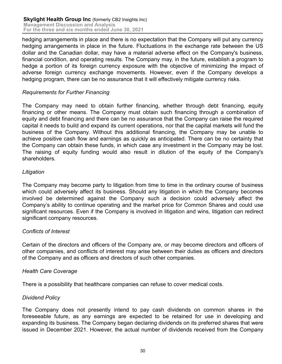hedging arrangements in place and there is no expectation that the Company will put any currency hedging arrangements in place in the future. Fluctuations in the exchange rate between the US dollar and the Canadian dollar, may have a material adverse effect on the Company's business, financial condition, and operating results. The Company may, in the future, establish a program to hedge a portion of its foreign currency exposure with the objective of minimizing the impact of adverse foreign currency exchange movements. However, even if the Company develops a hedging program, there can be no assurance that it will effectively mitigate currency risks.

## *Requirements for Further Financing*

The Company may need to obtain further financing, whether through debt financing, equity financing or other means. The Company must obtain such financing through a combination of equity and debt financing and there can be no assurance that the Company can raise the required capital it needs to build and expand its current operations, nor that the capital markets will fund the business of the Company. Without this additional financing, the Company may be unable to achieve positive cash flow and earnings as quickly as anticipated. There can be no certainty that the Company can obtain these funds, in which case any investment in the Company may be lost. The raising of equity funding would also result in dilution of the equity of the Company's shareholders.

## *Litigation*

The Company may become party to litigation from time to time in the ordinary course of business which could adversely affect its business. Should any litigation in which the Company becomes involved be determined against the Company such a decision could adversely affect the Company's ability to continue operating and the market price for Common Shares and could use significant resources. Even if the Company is involved in litigation and wins, litigation can redirect significant company resources.

# *Conflicts of Interest*

Certain of the directors and officers of the Company are, or may become directors and officers of other companies, and conflicts of interest may arise between their duties as officers and directors of the Company and as officers and directors of such other companies.

# *Health Care Coverage*

There is a possibility that healthcare companies can refuse to cover medical costs.

# *Dividend Policy*

The Company does not presently intend to pay cash dividends on common shares in the foreseeable future, as any earnings are expected to be retained for use in developing and expanding its business. The Company began declaring dividends on its preferred shares that were issued in December 2021. However, the actual number of dividends received from the Company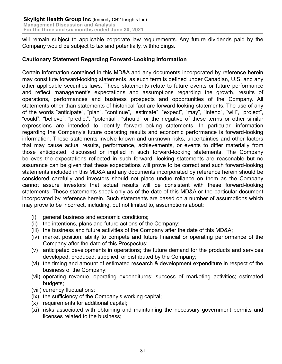will remain subject to applicable corporate law requirements. Any future dividends paid by the Company would be subject to tax and potentially, withholdings.

## **Cautionary Statement Regarding Forward-Looking Information**

Certain information contained in this MD&A and any documents incorporated by reference herein may constitute forward-looking statements, as such term is defined under Canadian, U.S. and any other applicable securities laws. These statements relate to future events or future performance and reflect management's expectations and assumptions regarding the growth, results of operations, performances and business prospects and opportunities of the Company. All statements other than statements of historical fact are forward-looking statements. The use of any of the words "anticipate", "plan", "continue", "estimate", "expect", "may", "intend", "will", "project", "could", "believe", "predict", "potential", "should" or the negative of these terms or other similar expressions are intended to identify forward-looking statements. In particular, information regarding the Company's future operating results and economic performance is forward-looking information. These statements involve known and unknown risks, uncertainties and other factors that may cause actual results, performance, achievements, or events to differ materially from those anticipated, discussed or implied in such forward-looking statements. The Company believes the expectations reflected in such forward- looking statements are reasonable but no assurance can be given that these expectations will prove to be correct and such forward-looking statements included in this MD&A and any documents incorporated by reference herein should be considered carefully and investors should not place undue reliance on them as the Company cannot assure investors that actual results will be consistent with these forward-looking statements. These statements speak only as of the date of this MD&A or the particular document incorporated by reference herein. Such statements are based on a number of assumptions which may prove to be incorrect, including, but not limited to, assumptions about:

- (i) general business and economic conditions;
- (ii) the intentions, plans and future actions of the Company;
- (iii) the business and future activities of the Company after the date of this MD&A;
- (iv) market position, ability to compete and future financial or operating performance of the Company after the date of this Prospectus;
- (v) anticipated developments in operations; the future demand for the products and services developed, produced, supplied, or distributed by the Company;
- (vi) the timing and amount of estimated research & development expenditure in respect of the business of the Company;
- (vii) operating revenue, operating expenditures; success of marketing activities; estimated budgets;
- (viii) currency fluctuations;
- (ix) the sufficiency of the Company's working capital;
- (x) requirements for additional capital;
- (xi) risks associated with obtaining and maintaining the necessary government permits and licenses related to the business;